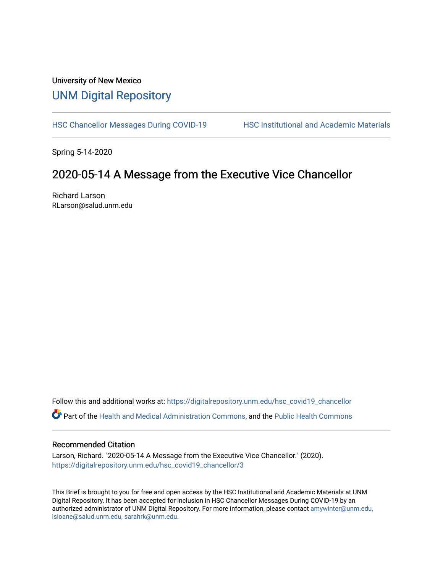# University of New Mexico [UNM Digital Repository](https://digitalrepository.unm.edu/)

[HSC Chancellor Messages During COVID-19](https://digitalrepository.unm.edu/hsc_covid19_chancellor) HSC Institutional and Academic Materials

Spring 5-14-2020

## 2020-05-14 A Message from the Executive Vice Chancellor

Richard Larson RLarson@salud.unm.edu

Follow this and additional works at: [https://digitalrepository.unm.edu/hsc\\_covid19\\_chancellor](https://digitalrepository.unm.edu/hsc_covid19_chancellor?utm_source=digitalrepository.unm.edu%2Fhsc_covid19_chancellor%2F3&utm_medium=PDF&utm_campaign=PDFCoverPages)

Part of the [Health and Medical Administration Commons](http://network.bepress.com/hgg/discipline/663?utm_source=digitalrepository.unm.edu%2Fhsc_covid19_chancellor%2F3&utm_medium=PDF&utm_campaign=PDFCoverPages), and the [Public Health Commons](http://network.bepress.com/hgg/discipline/738?utm_source=digitalrepository.unm.edu%2Fhsc_covid19_chancellor%2F3&utm_medium=PDF&utm_campaign=PDFCoverPages) 

#### Recommended Citation

Larson, Richard. "2020-05-14 A Message from the Executive Vice Chancellor." (2020). [https://digitalrepository.unm.edu/hsc\\_covid19\\_chancellor/3](https://digitalrepository.unm.edu/hsc_covid19_chancellor/3?utm_source=digitalrepository.unm.edu%2Fhsc_covid19_chancellor%2F3&utm_medium=PDF&utm_campaign=PDFCoverPages)

This Brief is brought to you for free and open access by the HSC Institutional and Academic Materials at UNM Digital Repository. It has been accepted for inclusion in HSC Chancellor Messages During COVID-19 by an authorized administrator of UNM Digital Repository. For more information, please contact [amywinter@unm.edu,](mailto:amywinter@unm.edu,%20lsloane@salud.unm.edu,%20sarahrk@unm.edu)  [lsloane@salud.unm.edu, sarahrk@unm.edu.](mailto:amywinter@unm.edu,%20lsloane@salud.unm.edu,%20sarahrk@unm.edu)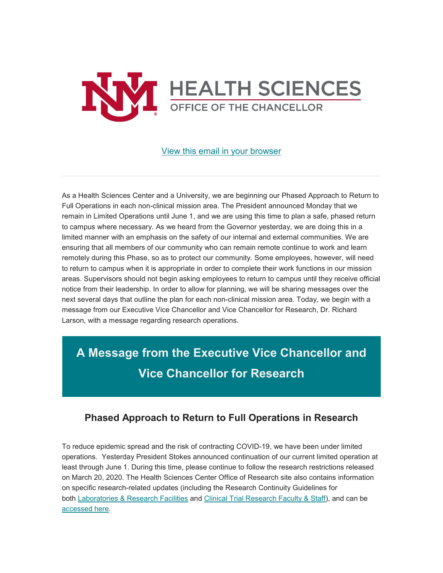

### [View this email in your browser](https://mailchi.mp/2b6057d523a6/message-from-the-chancellor-coronavirus-4414508?e=b4bbfca2c0)

As a Health Sciences Center and a University, we are beginning our Phased Approach to Return to Full Operations in each non-clinical mission area. The President announced Monday that we remain in Limited Operations until June 1, and we are using this time to plan a safe, phased return to campus where necessary. As we heard from the Governor yesterday, we are doing this in a limited manner with an emphasis on the safety of our internal and external communities. We are ensuring that all members of our community who can remain remote continue to work and learn remotely during this Phase, so as to protect our community. Some employees, however, will need to return to campus when it is appropriate in order to complete their work functions in our mission areas. Supervisors should not begin asking employees to return to campus until they receive official notice from their leadership. In order to allow for planning, we will be sharing messages over the next several days that outline the plan for each non-clinical mission area. Today, we begin with a message from our Executive Vice Chancellor and Vice Chancellor for Research, Dr. Richard Larson, with a message regarding research operations.

**A Message from the Executive Vice Chancellor and Vice Chancellor for Research**

## **Phased Approach to Return to Full Operations in Research**

To reduce epidemic spread and the risk of contracting COVID-19, we have been under limited operations. Yesterday President Stokes announced continuation of our current limited operation at least through June 1. During this time, please continue to follow the research restrictions released on March 20, 2020. The Health Sciences Center Office of Research site also contains information on specific research-related updates (including the Research Continuity Guidelines for both [Laboratories & Research Facilities](https://unm.us19.list-manage.com/track/click?u=59ce53c1a4dedb490bac78648&id=a30674f7e1&e=b4bbfca2c0) and [Clinical Trial Research Faculty & Staff\)](https://unm.us19.list-manage.com/track/click?u=59ce53c1a4dedb490bac78648&id=fbf851d06e&e=b4bbfca2c0), and can be [accessed here.](https://unm.us19.list-manage.com/track/click?u=59ce53c1a4dedb490bac78648&id=bca978f543&e=b4bbfca2c0)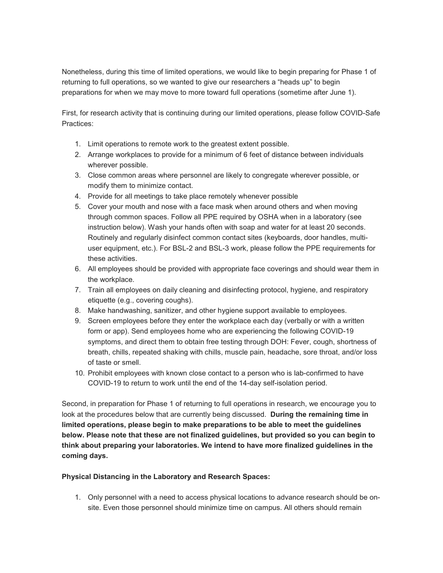Nonetheless, during this time of limited operations, we would like to begin preparing for Phase 1 of returning to full operations, so we wanted to give our researchers a "heads up" to begin preparations for when we may move to more toward full operations (sometime after June 1).

First, for research activity that is continuing during our limited operations, please follow COVID-Safe Practices:

- 1. Limit operations to remote work to the greatest extent possible.
- 2. Arrange workplaces to provide for a minimum of 6 feet of distance between individuals wherever possible.
- 3. Close common areas where personnel are likely to congregate wherever possible, or modify them to minimize contact.
- 4. Provide for all meetings to take place remotely whenever possible
- 5. Cover your mouth and nose with a face mask when around others and when moving through common spaces. Follow all PPE required by OSHA when in a laboratory (see instruction below). Wash your hands often with soap and water for at least 20 seconds. Routinely and regularly disinfect common contact sites (keyboards, door handles, multiuser equipment, etc.). For BSL-2 and BSL-3 work, please follow the PPE requirements for these activities.
- 6. All employees should be provided with appropriate face coverings and should wear them in the workplace.
- 7. Train all employees on daily cleaning and disinfecting protocol, hygiene, and respiratory etiquette (e.g., covering coughs).
- 8. Make handwashing, sanitizer, and other hygiene support available to employees.
- 9. Screen employees before they enter the workplace each day (verbally or with a written form or app). Send employees home who are experiencing the following COVID-19 symptoms, and direct them to obtain free testing through DOH: Fever, cough, shortness of breath, chills, repeated shaking with chills, muscle pain, headache, sore throat, and/or loss of taste or smell.
- 10. Prohibit employees with known close contact to a person who is lab-confirmed to have COVID-19 to return to work until the end of the 14-day self-isolation period.

Second, in preparation for Phase 1 of returning to full operations in research, we encourage you to look at the procedures below that are currently being discussed. **During the remaining time in limited operations, please begin to make preparations to be able to meet the guidelines below. Please note that these are not finalized guidelines, but provided so you can begin to think about preparing your laboratories. We intend to have more finalized guidelines in the coming days.**

### **Physical Distancing in the Laboratory and Research Spaces:**

1. Only personnel with a need to access physical locations to advance research should be onsite. Even those personnel should minimize time on campus. All others should remain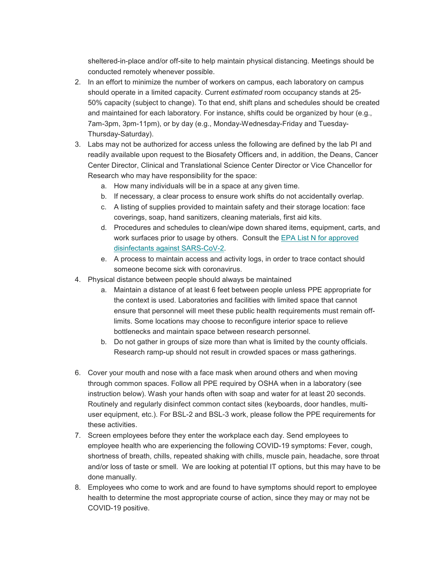sheltered-in-place and/or off-site to help maintain physical distancing. Meetings should be conducted remotely whenever possible.

- 2. In an effort to minimize the number of workers on campus, each laboratory on campus should operate in a limited capacity. Current *estimated* room occupancy stands at 25- 50% capacity (subject to change). To that end, shift plans and schedules should be created and maintained for each laboratory. For instance, shifts could be organized by hour (e.g., 7am-3pm, 3pm-11pm), or by day (e.g., Monday-Wednesday-Friday and Tuesday-Thursday-Saturday).
- 3. Labs may not be authorized for access unless the following are defined by the lab PI and readily available upon request to the Biosafety Officers and, in addition, the Deans, Cancer Center Director, Clinical and Translational Science Center Director or Vice Chancellor for Research who may have responsibility for the space:
	- a. How many individuals will be in a space at any given time.
	- b. If necessary, a clear process to ensure work shifts do not accidentally overlap.
	- c. A listing of supplies provided to maintain safety and their storage location: face coverings, soap, hand sanitizers, cleaning materials, first aid kits.
	- d. Procedures and schedules to clean/wipe down shared items, equipment, carts, and work surfaces prior to usage by others. Consult the [EPA List N for approved](https://unm.us19.list-manage.com/track/click?u=59ce53c1a4dedb490bac78648&id=4240391c52&e=b4bbfca2c0)  [disinfectants against SARS-CoV-2.](https://unm.us19.list-manage.com/track/click?u=59ce53c1a4dedb490bac78648&id=4240391c52&e=b4bbfca2c0)
	- e. A process to maintain access and activity logs, in order to trace contact should someone become sick with coronavirus.
- 4. Physical distance between people should always be maintained
	- a. Maintain a distance of at least 6 feet between people unless PPE appropriate for the context is used. Laboratories and facilities with limited space that cannot ensure that personnel will meet these public health requirements must remain offlimits. Some locations may choose to reconfigure interior space to relieve bottlenecks and maintain space between research personnel.
	- b. Do not gather in groups of size more than what is limited by the county officials. Research ramp-up should not result in crowded spaces or mass gatherings.
- 6. Cover your mouth and nose with a face mask when around others and when moving through common spaces. Follow all PPE required by OSHA when in a laboratory (see instruction below). Wash your hands often with soap and water for at least 20 seconds. Routinely and regularly disinfect common contact sites (keyboards, door handles, multiuser equipment, etc.). For BSL-2 and BSL-3 work, please follow the PPE requirements for these activities.
- 7. Screen employees before they enter the workplace each day. Send employees to employee health who are experiencing the following COVID-19 symptoms: Fever, cough, shortness of breath, chills, repeated shaking with chills, muscle pain, headache, sore throat and/or loss of taste or smell. We are looking at potential IT options, but this may have to be done manually.
- 8. Employees who come to work and are found to have symptoms should report to employee health to determine the most appropriate course of action, since they may or may not be COVID-19 positive.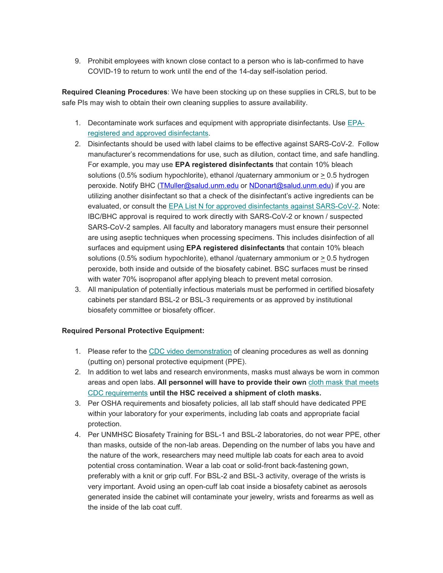9. Prohibit employees with known close contact to a person who is lab-confirmed to have COVID-19 to return to work until the end of the 14-day self-isolation period.

**Required Cleaning Procedures**: We have been stocking up on these supplies in CRLS, but to be safe PIs may wish to obtain their own cleaning supplies to assure availability.

- 1. Decontaminate work surfaces and equipment with appropriate disinfectants. Use [EPA](https://unm.us19.list-manage.com/track/click?u=59ce53c1a4dedb490bac78648&id=f63d3fbda1&e=b4bbfca2c0)[registered and approved disinfectants.](https://unm.us19.list-manage.com/track/click?u=59ce53c1a4dedb490bac78648&id=f63d3fbda1&e=b4bbfca2c0)
- 2. Disinfectants should be used with label claims to be effective against SARS-CoV-2. Follow manufacturer's recommendations for use, such as dilution, contact time, and safe handling. For example, you may use **EPA registered disinfectants** that contain 10% bleach solutions (0.5% sodium hypochlorite), ethanol /quaternary ammonium or > 0.5 hydrogen peroxide. Notify BHC [\(TMuller@salud.unm.edu](mailto:TMuller@salud.unm.edu) or [NDonart@salud.unm.edu\)](mailto:NDonart@salud.unm.edu) if you are utilizing another disinfectant so that a check of the disinfectant's active ingredients can be evaluated, or consult the [EPA List N for approved disinfectants against SARS-CoV-2.](https://unm.us19.list-manage.com/track/click?u=59ce53c1a4dedb490bac78648&id=5c4186d38a&e=b4bbfca2c0) Note: IBC/BHC approval is required to work directly with SARS-CoV-2 or known / suspected SARS-CoV-2 samples. All faculty and laboratory managers must ensure their personnel are using aseptic techniques when processing specimens. This includes disinfection of all surfaces and equipment using **EPA registered disinfectants** that contain 10% bleach solutions (0.5% sodium hypochlorite), ethanol /quaternary ammonium or > 0.5 hydrogen peroxide, both inside and outside of the biosafety cabinet. BSC surfaces must be rinsed with water 70% isopropanol after applying bleach to prevent metal corrosion.
- 3. All manipulation of potentially infectious materials must be performed in certified biosafety cabinets per standard BSL-2 or BSL-3 requirements or as approved by institutional biosafety committee or biosafety officer.

### **Required Personal Protective Equipment:**

- 1. Please refer to the [CDC video demonstration](https://unm.us19.list-manage.com/track/click?u=59ce53c1a4dedb490bac78648&id=80c37fb254&e=b4bbfca2c0) of cleaning procedures as well as donning (putting on) personal protective equipment (PPE).
- 2. In addition to wet labs and research environments, masks must always be worn in common areas and open labs. **All personnel will have to provide their own** [cloth mask that meets](https://unm.us19.list-manage.com/track/click?u=59ce53c1a4dedb490bac78648&id=a91e17de05&e=b4bbfca2c0)  [CDC requirements](https://unm.us19.list-manage.com/track/click?u=59ce53c1a4dedb490bac78648&id=a91e17de05&e=b4bbfca2c0) **until the HSC received a shipment of cloth masks.**
- 3. Per OSHA requirements and biosafety policies, all lab staff should have dedicated PPE within your laboratory for your experiments, including lab coats and appropriate facial protection.
- 4. Per UNMHSC Biosafety Training for BSL-1 and BSL-2 laboratories, do not wear PPE, other than masks, outside of the non-lab areas. Depending on the number of labs you have and the nature of the work, researchers may need multiple lab coats for each area to avoid potential cross contamination. Wear a lab coat or solid-front back-fastening gown, preferably with a knit or grip cuff. For BSL-2 and BSL-3 activity, overage of the wrists is very important. Avoid using an open-cuff lab coat inside a biosafety cabinet as aerosols generated inside the cabinet will contaminate your jewelry, wrists and forearms as well as the inside of the lab coat cuff.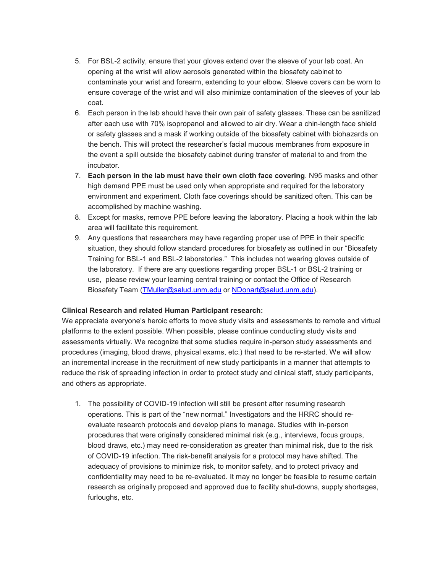- 5. For BSL-2 activity, ensure that your gloves extend over the sleeve of your lab coat. An opening at the wrist will allow aerosols generated within the biosafety cabinet to contaminate your wrist and forearm, extending to your elbow. Sleeve covers can be worn to ensure coverage of the wrist and will also minimize contamination of the sleeves of your lab coat.
- 6. Each person in the lab should have their own pair of safety glasses. These can be sanitized after each use with 70% isopropanol and allowed to air dry. Wear a chin-length face shield or safety glasses and a mask if working outside of the biosafety cabinet with biohazards on the bench. This will protect the researcher's facial mucous membranes from exposure in the event a spill outside the biosafety cabinet during transfer of material to and from the incubator.
- 7. **Each person in the lab must have their own cloth face covering**. N95 masks and other high demand PPE must be used only when appropriate and required for the laboratory environment and experiment. Cloth face coverings should be sanitized often. This can be accomplished by machine washing.
- 8. Except for masks, remove PPE before leaving the laboratory. Placing a hook within the lab area will facilitate this requirement.
- 9. Any questions that researchers may have regarding proper use of PPE in their specific situation, they should follow standard procedures for biosafety as outlined in our "Biosafety Training for BSL-1 and BSL-2 laboratories." This includes not wearing gloves outside of the laboratory. If there are any questions regarding proper BSL-1 or BSL-2 training or use, please review your learning central training or contact the Office of Research Biosafety Team [\(TMuller@salud.unm.edu](mailto:TMuller@salud.unm.edu) or [NDonart@salud.unm.edu\)](mailto:NDonart@salud.unm.edu).

### **Clinical Research and related Human Participant research:**

We appreciate everyone's heroic efforts to move study visits and assessments to remote and virtual platforms to the extent possible. When possible, please continue conducting study visits and assessments virtually. We recognize that some studies require in-person study assessments and procedures (imaging, blood draws, physical exams, etc.) that need to be re-started. We will allow an incremental increase in the recruitment of new study participants in a manner that attempts to reduce the risk of spreading infection in order to protect study and clinical staff, study participants, and others as appropriate.

1. The possibility of COVID-19 infection will still be present after resuming research operations. This is part of the "new normal." Investigators and the HRRC should reevaluate research protocols and develop plans to manage. Studies with in-person procedures that were originally considered minimal risk (e.g., interviews, focus groups, blood draws, etc.) may need re-consideration as greater than minimal risk, due to the risk of COVID-19 infection. The risk-benefit analysis for a protocol may have shifted. The adequacy of provisions to minimize risk, to monitor safety, and to protect privacy and confidentiality may need to be re-evaluated. It may no longer be feasible to resume certain research as originally proposed and approved due to facility shut-downs, supply shortages, furloughs, etc.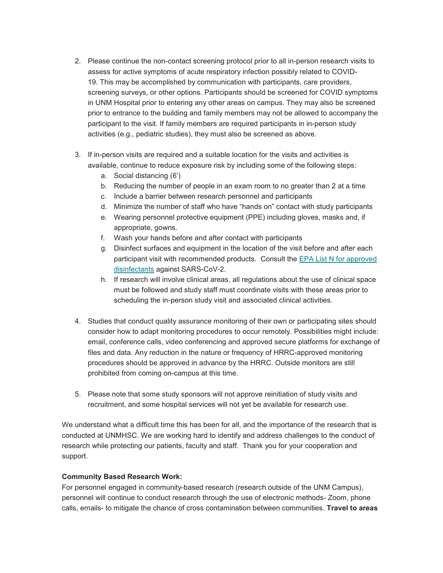- 2. Please continue the non-contact screening protocol prior to all in-person research visits to assess for active symptoms of acute respiratory infection possibly related to COVID-19. This may be accomplished by communication with participants, care providers, screening surveys, or other options. Participants should be screened for COVID symptoms in UNM Hospital prior to entering any other areas on campus. They may also be screened prior to entrance to the building and family members may not be allowed to accompany the participant to the visit. If family members are required participants in in-person study activities (e.g., pediatric studies), they must also be screened as above.
- 3. If in-person visits are required and a suitable location for the visits and activities is available, continue to reduce exposure risk by including some of the following steps:
	- a. Social distancing (6')
	- b. Reducing the number of people in an exam room to no greater than 2 at a time
	- c. Include a barrier between research personnel and participants
	- d. Minimize the number of staff who have "hands on" contact with study participants
	- e. Wearing personnel protective equipment (PPE) including gloves, masks and, if appropriate, gowns.
	- f. Wash your hands before and after contact with participants
	- g. Disinfect surfaces and equipment in the location of the visit before and after each participant visit with recommended products. Consult the [EPA List N for approved](https://unm.us19.list-manage.com/track/click?u=59ce53c1a4dedb490bac78648&id=7d3990fa82&e=b4bbfca2c0)  [disinfectants](https://unm.us19.list-manage.com/track/click?u=59ce53c1a4dedb490bac78648&id=7d3990fa82&e=b4bbfca2c0) against SARS-CoV-2.
	- h. If research will involve clinical areas, all regulations about the use of clinical space must be followed and study staff must coordinate visits with these areas prior to scheduling the in-person study visit and associated clinical activities.
- 4. Studies that conduct quality assurance monitoring of their own or participating sites should consider how to adapt monitoring procedures to occur remotely. Possibilities might include: email, conference calls, video conferencing and approved secure platforms for exchange of files and data. Any reduction in the nature or frequency of HRRC-approved monitoring procedures should be approved in advance by the HRRC. Outside monitors are still prohibited from coming on-campus at this time.
- 5. Please note that some study sponsors will not approve reinitiation of study visits and recruitment, and some hospital services will not yet be available for research use.

We understand what a difficult time this has been for all, and the importance of the research that is conducted at UNMHSC. We are working hard to identify and address challenges to the conduct of research while protecting our patients, faculty and staff. Thank you for your cooperation and support.

### **Community Based Research Work:**

For personnel engaged in community-based research (research outside of the UNM Campus), personnel will continue to conduct research through the use of electronic methods- Zoom, phone calls, emails- to mitigate the chance of cross contamination between communities. **Travel to areas**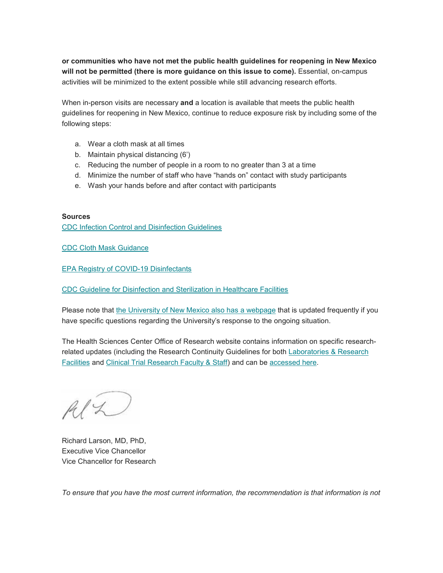**or communities who have not met the public health guidelines for reopening in New Mexico will not be permitted (there is more guidance on this issue to come).** Essential, on-campus activities will be minimized to the extent possible while still advancing research efforts.

When in-person visits are necessary **and** a location is available that meets the public health guidelines for reopening in New Mexico, continue to reduce exposure risk by including some of the following steps:

- a. Wear a cloth mask at all times
- b. Maintain physical distancing (6')
- c. Reducing the number of people in a room to no greater than 3 at a time
- d. Minimize the number of staff who have "hands on" contact with study participants
- e. Wash your hands before and after contact with participants

#### **Sources**

[CDC Infection Control and Disinfection Guidelines](https://unm.us19.list-manage.com/track/click?u=59ce53c1a4dedb490bac78648&id=c2bc851152&e=b4bbfca2c0)

[CDC Cloth Mask Guidance](https://unm.us19.list-manage.com/track/click?u=59ce53c1a4dedb490bac78648&id=d35abbd012&e=b4bbfca2c0)

[EPA Registry of COVID-19 Disinfectants](https://unm.us19.list-manage.com/track/click?u=59ce53c1a4dedb490bac78648&id=2dd113ea55&e=b4bbfca2c0)

[CDC Guideline for Disinfection and Sterilization in Healthcare Facilities](https://unm.us19.list-manage.com/track/click?u=59ce53c1a4dedb490bac78648&id=c4d3430c68&e=b4bbfca2c0)

Please note that [the University of New Mexico also has a webpage](https://unm.us19.list-manage.com/track/click?u=59ce53c1a4dedb490bac78648&id=5ae1eb350e&e=b4bbfca2c0) that is updated frequently if you have specific questions regarding the University's response to the ongoing situation.

The Health Sciences Center Office of Research website contains information on specific researchrelated updates (including the Research Continuity Guidelines for both [Laboratories & Research](https://unm.us19.list-manage.com/track/click?u=59ce53c1a4dedb490bac78648&id=f41d743687&e=b4bbfca2c0)  [Facilities](https://unm.us19.list-manage.com/track/click?u=59ce53c1a4dedb490bac78648&id=f41d743687&e=b4bbfca2c0) and [Clinical Trial Research Faculty & Staff\)](https://unm.us19.list-manage.com/track/click?u=59ce53c1a4dedb490bac78648&id=20cd8f0d87&e=b4bbfca2c0) and can be [accessed here.](https://unm.us19.list-manage.com/track/click?u=59ce53c1a4dedb490bac78648&id=73fbb8a51c&e=b4bbfca2c0)

 $AlZ$ 

Richard Larson, MD, PhD, Executive Vice Chancellor Vice Chancellor for Research

*To ensure that you have the most current information, the recommendation is that information is not*